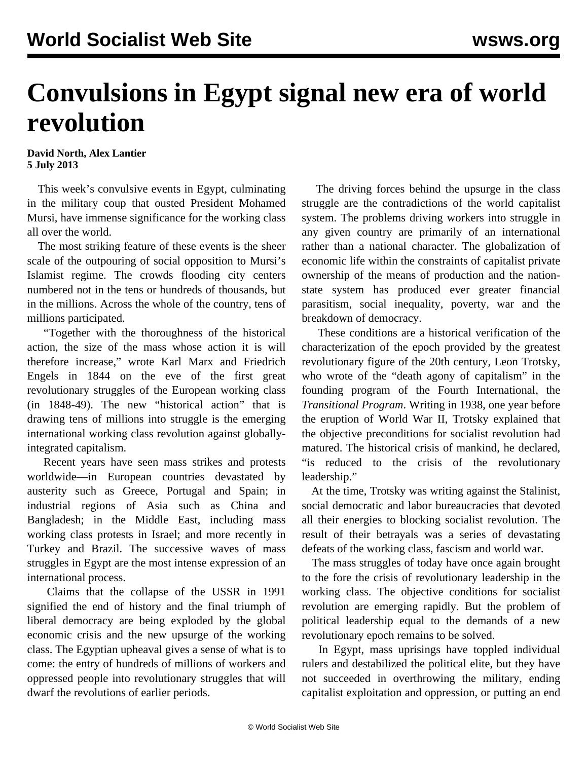## **Convulsions in Egypt signal new era of world revolution**

**David North, Alex Lantier 5 July 2013**

 This week's convulsive events in Egypt, culminating in the military coup that ousted President Mohamed Mursi, have immense significance for the working class all over the world.

 The most striking feature of these events is the sheer scale of the outpouring of social opposition to Mursi's Islamist regime. The crowds flooding city centers numbered not in the tens or hundreds of thousands, but in the millions. Across the whole of the country, tens of millions participated.

 "Together with the thoroughness of the historical action, the size of the mass whose action it is will therefore increase," wrote Karl Marx and Friedrich Engels in 1844 on the eve of the first great revolutionary struggles of the European working class (in 1848-49). The new "historical action" that is drawing tens of millions into struggle is the emerging international working class revolution against globallyintegrated capitalism.

 Recent years have seen mass strikes and protests worldwide—in European countries devastated by austerity such as Greece, Portugal and Spain; in industrial regions of Asia such as China and Bangladesh; in the Middle East, including mass working class protests in Israel; and more recently in Turkey and Brazil. The successive waves of mass struggles in Egypt are the most intense expression of an international process.

 Claims that the collapse of the USSR in 1991 signified the end of history and the final triumph of liberal democracy are being exploded by the global economic crisis and the new upsurge of the working class. The Egyptian upheaval gives a sense of what is to come: the entry of hundreds of millions of workers and oppressed people into revolutionary struggles that will dwarf the revolutions of earlier periods.

 The driving forces behind the upsurge in the class struggle are the contradictions of the world capitalist system. The problems driving workers into struggle in any given country are primarily of an international rather than a national character. The globalization of economic life within the constraints of capitalist private ownership of the means of production and the nationstate system has produced ever greater financial parasitism, social inequality, poverty, war and the breakdown of democracy.

 These conditions are a historical verification of the characterization of the epoch provided by the greatest revolutionary figure of the 20th century, Leon Trotsky, who wrote of the "death agony of capitalism" in the founding program of the Fourth International, the *Transitional Program*. Writing in 1938, one year before the eruption of World War II, Trotsky explained that the objective preconditions for socialist revolution had matured. The historical crisis of mankind, he declared, "is reduced to the crisis of the revolutionary leadership."

 At the time, Trotsky was writing against the Stalinist, social democratic and labor bureaucracies that devoted all their energies to blocking socialist revolution. The result of their betrayals was a series of devastating defeats of the working class, fascism and world war.

 The mass struggles of today have once again brought to the fore the crisis of revolutionary leadership in the working class. The objective conditions for socialist revolution are emerging rapidly. But the problem of political leadership equal to the demands of a new revolutionary epoch remains to be solved.

 In Egypt, mass uprisings have toppled individual rulers and destabilized the political elite, but they have not succeeded in overthrowing the military, ending capitalist exploitation and oppression, or putting an end